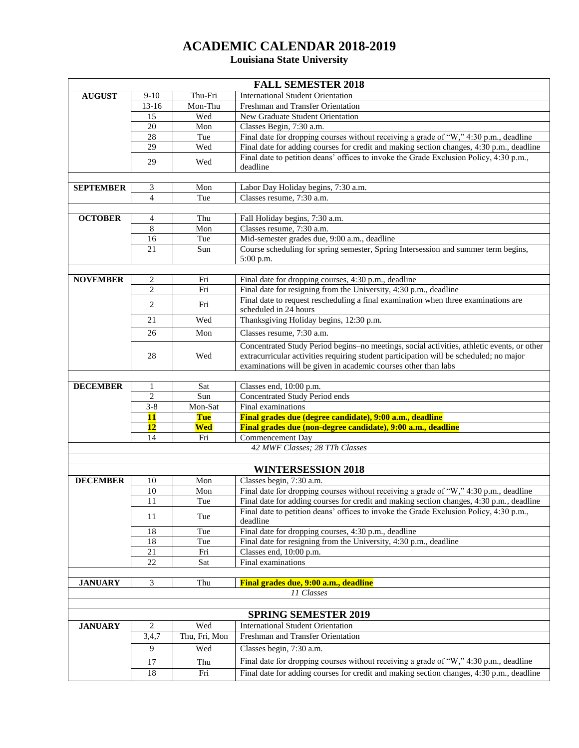## **ACADEMIC CALENDAR 2018-2019**

## **Louisiana State University**

|                  |                 |               | <b>FALL SEMESTER 2018</b>                                                                                                                                                                                                                              |
|------------------|-----------------|---------------|--------------------------------------------------------------------------------------------------------------------------------------------------------------------------------------------------------------------------------------------------------|
| <b>AUGUST</b>    | $9-10$          | Thu-Fri       | <b>International Student Orientation</b>                                                                                                                                                                                                               |
|                  | $13-16$         | Mon-Thu       | Freshman and Transfer Orientation                                                                                                                                                                                                                      |
|                  | 15              | Wed           | New Graduate Student Orientation                                                                                                                                                                                                                       |
|                  | 20              | Mon           | Classes Begin, 7:30 a.m.                                                                                                                                                                                                                               |
|                  | 28              | Tue           | Final date for dropping courses without receiving a grade of "W," 4:30 p.m., deadline                                                                                                                                                                  |
|                  | 29              | Wed           | Final date for adding courses for credit and making section changes, 4:30 p.m., deadline                                                                                                                                                               |
|                  | 29              | Wed           | Final date to petition deans' offices to invoke the Grade Exclusion Policy, 4:30 p.m.,<br>deadline                                                                                                                                                     |
|                  |                 |               |                                                                                                                                                                                                                                                        |
| <b>SEPTEMBER</b> | 3               | Mon           | Labor Day Holiday begins, 7:30 a.m.                                                                                                                                                                                                                    |
|                  | $\overline{4}$  | Tue           | Classes resume, 7:30 a.m.                                                                                                                                                                                                                              |
|                  |                 |               |                                                                                                                                                                                                                                                        |
| <b>OCTOBER</b>   | 4               | Thu           | Fall Holiday begins, 7:30 a.m.                                                                                                                                                                                                                         |
|                  | 8               | Mon           | Classes resume, 7:30 a.m.                                                                                                                                                                                                                              |
|                  | 16              | Tue           | Mid-semester grades due, 9:00 a.m., deadline                                                                                                                                                                                                           |
|                  | 21              | Sun           | Course scheduling for spring semester, Spring Intersession and summer term begins,<br>5:00 p.m.                                                                                                                                                        |
|                  |                 |               |                                                                                                                                                                                                                                                        |
| <b>NOVEMBER</b>  | 2               | Fri           | Final date for dropping courses, 4:30 p.m., deadline                                                                                                                                                                                                   |
|                  | $\mathbf{2}$    | Fri           | Final date for resigning from the University, 4:30 p.m., deadline                                                                                                                                                                                      |
|                  | 2               | Fri           | Final date to request rescheduling a final examination when three examinations are<br>scheduled in 24 hours                                                                                                                                            |
|                  | 21              | Wed           | Thanksgiving Holiday begins, 12:30 p.m.                                                                                                                                                                                                                |
|                  | 26              | Mon           | Classes resume, 7:30 a.m.                                                                                                                                                                                                                              |
|                  | 28              | Wed           | Concentrated Study Period begins-no meetings, social activities, athletic events, or other<br>extracurricular activities requiring student participation will be scheduled; no major<br>examinations will be given in academic courses other than labs |
|                  |                 |               |                                                                                                                                                                                                                                                        |
| <b>DECEMBER</b>  | $\mathbf{1}$    | Sat           | Classes end, 10:00 p.m.                                                                                                                                                                                                                                |
|                  | 2               | Sun           | Concentrated Study Period ends                                                                                                                                                                                                                         |
|                  | $3 - 8$         | Mon-Sat       | Final examinations                                                                                                                                                                                                                                     |
|                  | <b>11</b>       | Tue           | Final grades due (degree candidate), 9:00 a.m., deadline                                                                                                                                                                                               |
|                  | 12              | Wed           | Final grades due (non-degree candidate), 9:00 a.m., deadline                                                                                                                                                                                           |
|                  | 14              | Fri           | Commencement Day                                                                                                                                                                                                                                       |
|                  |                 |               | 42 MWF Classes; 28 TTh Classes                                                                                                                                                                                                                         |
|                  |                 |               |                                                                                                                                                                                                                                                        |
|                  |                 |               | <b>WINTERSESSION 2018</b>                                                                                                                                                                                                                              |
| <b>DECEMBER</b>  | 10              | Mon           | Classes begin, 7:30 a.m.                                                                                                                                                                                                                               |
|                  | 10              | Mon           | Final date for dropping courses without receiving a grade of "W," 4:30 p.m., deadline                                                                                                                                                                  |
|                  | $\overline{11}$ | Tue           | Final date for adding courses for credit and making section changes, 4:30 p.m., deadline                                                                                                                                                               |
|                  | 11              | Tue           | Final date to petition deans' offices to invoke the Grade Exclusion Policy, 4:30 p.m.,<br>deadline                                                                                                                                                     |
|                  | 18              | Tue           | Final date for dropping courses, 4:30 p.m., deadline                                                                                                                                                                                                   |
|                  | 18              | Tue           | Final date for resigning from the University, 4:30 p.m., deadline                                                                                                                                                                                      |
|                  | 21              | Fri           | Classes end, 10:00 p.m.                                                                                                                                                                                                                                |
|                  | 22              | Sat           | Final examinations                                                                                                                                                                                                                                     |
|                  |                 |               |                                                                                                                                                                                                                                                        |
| <b>JANUARY</b>   | 3               | Thu           | Final grades due, 9:00 a.m., deadline                                                                                                                                                                                                                  |
|                  |                 |               | 11 Classes                                                                                                                                                                                                                                             |
|                  |                 |               |                                                                                                                                                                                                                                                        |
|                  |                 |               | <b>SPRING SEMESTER 2019</b>                                                                                                                                                                                                                            |
| <b>JANUARY</b>   | 2               | Wed           | <b>International Student Orientation</b>                                                                                                                                                                                                               |
|                  | 3,4,7           | Thu, Fri, Mon | Freshman and Transfer Orientation                                                                                                                                                                                                                      |
|                  | 9               | Wed           | Classes begin, 7:30 a.m.                                                                                                                                                                                                                               |
|                  | 17              | Thu           | Final date for dropping courses without receiving a grade of "W," 4:30 p.m., deadline                                                                                                                                                                  |
|                  | 18              | Fri           | Final date for adding courses for credit and making section changes, 4:30 p.m., deadline                                                                                                                                                               |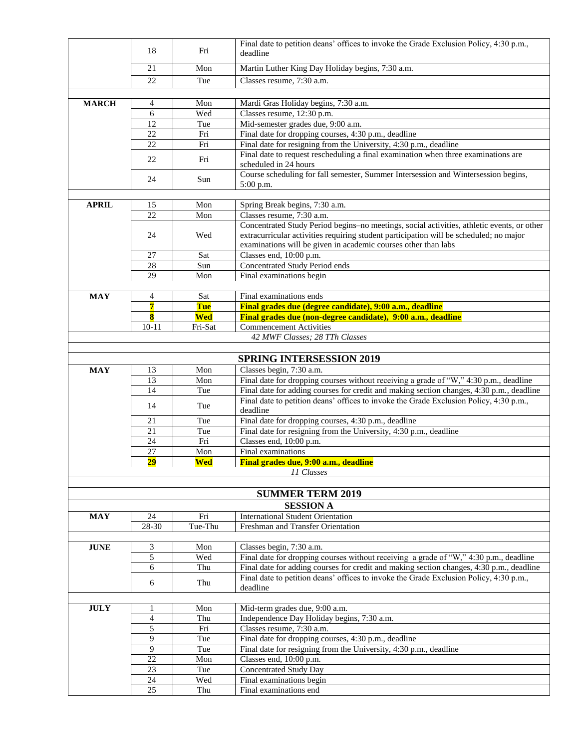|               |                 |            | Final date to petition deans' offices to invoke the Grade Exclusion Policy, 4:30 p.m.,                                                                  |
|---------------|-----------------|------------|---------------------------------------------------------------------------------------------------------------------------------------------------------|
|               | 18              | Fri        | deadline                                                                                                                                                |
|               | 21              | Mon        | Martin Luther King Day Holiday begins, 7:30 a.m.                                                                                                        |
|               | 22              | Tue        | Classes resume, 7:30 a.m.                                                                                                                               |
|               |                 |            |                                                                                                                                                         |
| <b>MARCH</b>  | 4               | Mon        | Mardi Gras Holiday begins, 7:30 a.m.                                                                                                                    |
|               | 6               | Wed        | Classes resume, 12:30 p.m.                                                                                                                              |
|               | 12              | Tue        | Mid-semester grades due, 9:00 a.m.                                                                                                                      |
|               | 22<br>22        | Fri<br>Fri | Final date for dropping courses, 4:30 p.m., deadline                                                                                                    |
|               |                 |            | Final date for resigning from the University, 4:30 p.m., deadline<br>Final date to request rescheduling a final examination when three examinations are |
|               | 22              | Fri        | scheduled in 24 hours                                                                                                                                   |
|               | 24              | Sun        | Course scheduling for fall semester, Summer Intersession and Wintersession begins,<br>5:00 p.m.                                                         |
|               |                 |            |                                                                                                                                                         |
| <b>APRIL</b>  | 15              | Mon        | Spring Break begins, 7:30 a.m.                                                                                                                          |
|               | 22              | Mon        | Classes resume, 7:30 a.m.                                                                                                                               |
|               |                 |            | Concentrated Study Period begins-no meetings, social activities, athletic events, or other                                                              |
|               | 24              | Wed        | extracurricular activities requiring student participation will be scheduled; no major                                                                  |
|               |                 |            | examinations will be given in academic courses other than labs                                                                                          |
|               | 27              | Sat        | Classes end, 10:00 p.m.                                                                                                                                 |
|               | 28              | Sun        | Concentrated Study Period ends                                                                                                                          |
|               | 29              | Mon        | Final examinations begin                                                                                                                                |
| <b>MAY</b>    | 4               | Sat        | Final examinations ends                                                                                                                                 |
|               | 7               | <b>Tue</b> | Final grades due (degree candidate), 9:00 a.m., deadline                                                                                                |
|               | $\bf{8}$        | <b>Wed</b> | Final grades due (non-degree candidate), 9:00 a.m., deadline                                                                                            |
|               | $10 - 11$       | Fri-Sat    | <b>Commencement Activities</b>                                                                                                                          |
|               |                 |            | 42 MWF Classes; 28 TTh Classes                                                                                                                          |
|               |                 |            |                                                                                                                                                         |
|               |                 |            | <b>SPRING INTERSESSION 2019</b>                                                                                                                         |
| <b>MAY</b>    | 13              | Mon        | Classes begin, 7:30 a.m.                                                                                                                                |
|               | 13              | Mon        | Final date for dropping courses without receiving a grade of "W," 4:30 p.m., deadline                                                                   |
|               | 14              | Tue        | Final date for adding courses for credit and making section changes, 4:30 p.m., deadline                                                                |
|               | 14              | Tue        | Final date to petition deans' offices to invoke the Grade Exclusion Policy, 4:30 p.m.,                                                                  |
|               |                 |            | deadline                                                                                                                                                |
|               | 21              | Tue        | Final date for dropping courses, 4:30 p.m., deadline                                                                                                    |
|               | 21<br>24        | Tue<br>Fri | Final date for resigning from the University, 4:30 p.m., deadline<br>Classes end, 10:00 p.m.                                                            |
|               | 27              | Mon        | Final examinations                                                                                                                                      |
|               | $\overline{29}$ | Wed        | Final grades due, 9:00 a.m., deadline                                                                                                                   |
|               |                 |            | 11 Classes                                                                                                                                              |
|               |                 |            |                                                                                                                                                         |
|               |                 |            | <b>SUMMER TERM 2019</b>                                                                                                                                 |
|               |                 |            | <b>SESSION A</b>                                                                                                                                        |
| <b>MAY</b>    | 24              | Fri        | <b>International Student Orientation</b>                                                                                                                |
|               | 28-30           | Tue-Thu    | Freshman and Transfer Orientation                                                                                                                       |
|               |                 |            |                                                                                                                                                         |
| $\bold{JUNE}$ | 3               | Mon        | Classes begin, 7:30 a.m.                                                                                                                                |
|               | 5               | Wed        | Final date for dropping courses without receiving a grade of "W," 4:30 p.m., deadline                                                                   |
|               | 6               | Thu        | Final date for adding courses for credit and making section changes, 4:30 p.m., deadline                                                                |
|               | 6               | Thu        | Final date to petition deans' offices to invoke the Grade Exclusion Policy, 4:30 p.m.,                                                                  |
|               |                 |            | deadline                                                                                                                                                |
| <b>JULY</b>   | 1               | Mon        | Mid-term grades due, 9:00 a.m.                                                                                                                          |
|               | 4               | Thu        | Independence Day Holiday begins, 7:30 a.m.                                                                                                              |
|               | 5               | Fri        | Classes resume, 7:30 a.m.                                                                                                                               |
|               | 9               | Tue        | Final date for dropping courses, 4:30 p.m., deadline                                                                                                    |
|               | 9               | Tue        | Final date for resigning from the University, 4:30 p.m., deadline                                                                                       |
|               | 22              | Mon        | Classes end, 10:00 p.m.                                                                                                                                 |
|               | 23              | Tue        | <b>Concentrated Study Day</b>                                                                                                                           |
|               | 24              | Wed        | Final examinations begin                                                                                                                                |
|               | 25              | Thu        | Final examinations end                                                                                                                                  |